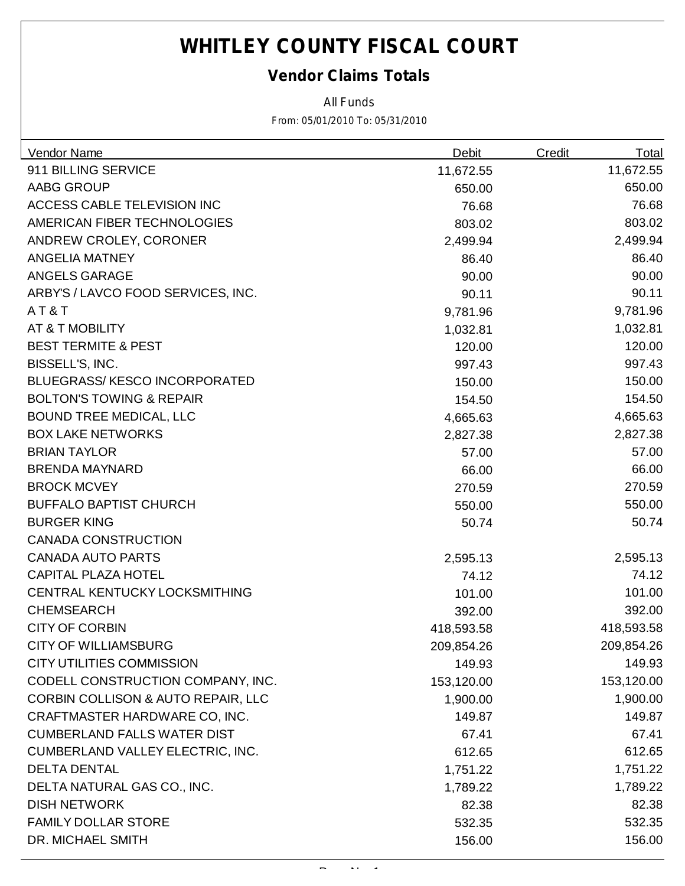### *Vendor Claims Totals*

*All Funds*

| Vendor Name                                   | <b>Debit</b> | Credit | <b>Total</b> |
|-----------------------------------------------|--------------|--------|--------------|
| 911 BILLING SERVICE                           | 11,672.55    |        | 11,672.55    |
| AABG GROUP                                    | 650.00       |        | 650.00       |
| ACCESS CABLE TELEVISION INC                   | 76.68        |        | 76.68        |
| AMERICAN FIBER TECHNOLOGIES                   | 803.02       |        | 803.02       |
| ANDREW CROLEY, CORONER                        | 2,499.94     |        | 2,499.94     |
| <b>ANGELIA MATNEY</b>                         | 86.40        |        | 86.40        |
| <b>ANGELS GARAGE</b>                          | 90.00        |        | 90.00        |
| ARBY'S / LAVCO FOOD SERVICES, INC.            | 90.11        |        | 90.11        |
| AT&T                                          | 9,781.96     |        | 9,781.96     |
| AT & T MOBILITY                               | 1,032.81     |        | 1,032.81     |
| <b>BEST TERMITE &amp; PEST</b>                | 120.00       |        | 120.00       |
| BISSELL'S, INC.                               | 997.43       |        | 997.43       |
| <b>BLUEGRASS/KESCO INCORPORATED</b>           | 150.00       |        | 150.00       |
| <b>BOLTON'S TOWING &amp; REPAIR</b>           | 154.50       |        | 154.50       |
| <b>BOUND TREE MEDICAL, LLC</b>                | 4,665.63     |        | 4,665.63     |
| <b>BOX LAKE NETWORKS</b>                      | 2,827.38     |        | 2,827.38     |
| <b>BRIAN TAYLOR</b>                           | 57.00        |        | 57.00        |
| <b>BRENDA MAYNARD</b>                         | 66.00        |        | 66.00        |
| <b>BROCK MCVEY</b>                            | 270.59       |        | 270.59       |
| <b>BUFFALO BAPTIST CHURCH</b>                 | 550.00       |        | 550.00       |
| <b>BURGER KING</b>                            | 50.74        |        | 50.74        |
| <b>CANADA CONSTRUCTION</b>                    |              |        |              |
| <b>CANADA AUTO PARTS</b>                      | 2,595.13     |        | 2,595.13     |
| <b>CAPITAL PLAZA HOTEL</b>                    | 74.12        |        | 74.12        |
| CENTRAL KENTUCKY LOCKSMITHING                 | 101.00       |        | 101.00       |
| <b>CHEMSEARCH</b>                             | 392.00       |        | 392.00       |
| <b>CITY OF CORBIN</b>                         | 418,593.58   |        | 418,593.58   |
| <b>CITY OF WILLIAMSBURG</b>                   | 209,854.26   |        | 209,854.26   |
| <b>CITY UTILITIES COMMISSION</b>              | 149.93       |        | 149.93       |
| CODELL CONSTRUCTION COMPANY, INC.             | 153,120.00   |        | 153,120.00   |
| <b>CORBIN COLLISON &amp; AUTO REPAIR, LLC</b> | 1,900.00     |        | 1,900.00     |
| CRAFTMASTER HARDWARE CO, INC.                 | 149.87       |        | 149.87       |
| <b>CUMBERLAND FALLS WATER DIST</b>            | 67.41        |        | 67.41        |
| CUMBERLAND VALLEY ELECTRIC, INC.              | 612.65       |        | 612.65       |
| <b>DELTA DENTAL</b>                           | 1,751.22     |        | 1,751.22     |
| DELTA NATURAL GAS CO., INC.                   | 1,789.22     |        | 1,789.22     |
| <b>DISH NETWORK</b>                           | 82.38        |        | 82.38        |
| <b>FAMILY DOLLAR STORE</b>                    | 532.35       |        | 532.35       |
| DR. MICHAEL SMITH                             | 156.00       |        | 156.00       |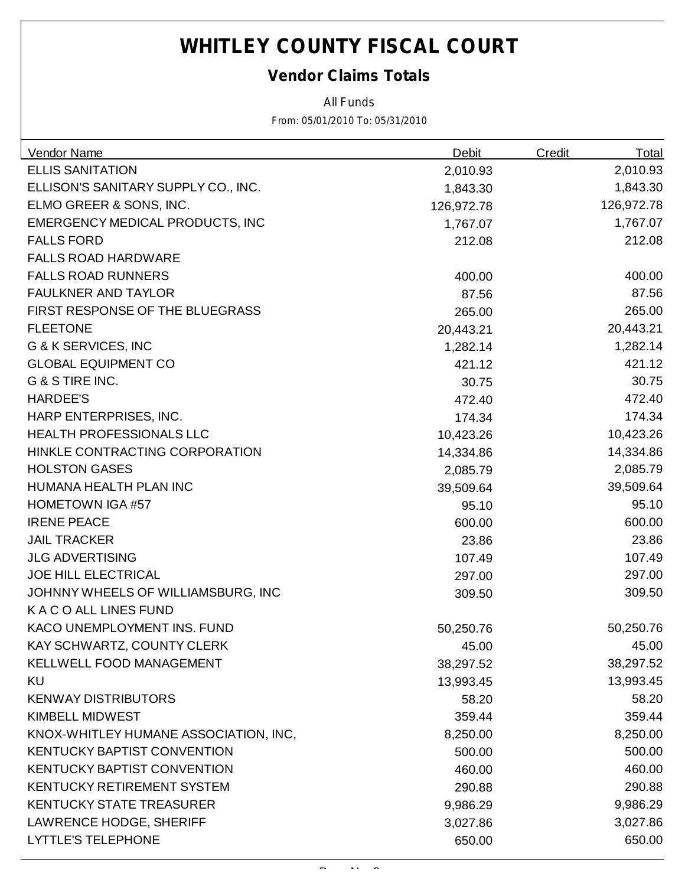### *Vendor Claims Totals*

*All Funds*

| <b>Vendor Name</b>                     | <b>Debit</b> | <b>Credit</b> | <b>Total</b> |
|----------------------------------------|--------------|---------------|--------------|
| <b>ELLIS SANITATION</b>                | 2,010.93     |               | 2,010.93     |
| ELLISON'S SANITARY SUPPLY CO., INC.    | 1,843.30     |               | 1,843.30     |
| ELMO GREER & SONS, INC.                | 126,972.78   |               | 126,972.78   |
| <b>EMERGENCY MEDICAL PRODUCTS, INC</b> | 1,767.07     |               | 1,767.07     |
| <b>FALLS FORD</b>                      | 212.08       |               | 212.08       |
| <b>FALLS ROAD HARDWARE</b>             |              |               |              |
| <b>FALLS ROAD RUNNERS</b>              | 400.00       |               | 400.00       |
| <b>FAULKNER AND TAYLOR</b>             | 87.56        |               | 87.56        |
| FIRST RESPONSE OF THE BLUEGRASS        | 265.00       |               | 265.00       |
| <b>FLEETONE</b>                        | 20,443.21    |               | 20,443.21    |
| G & K SERVICES, INC                    | 1,282.14     |               | 1,282.14     |
| <b>GLOBAL EQUIPMENT CO</b>             | 421.12       |               | 421.12       |
| G & S TIRE INC.                        | 30.75        |               | 30.75        |
| <b>HARDEE'S</b>                        | 472.40       |               | 472.40       |
| HARP ENTERPRISES, INC.                 | 174.34       |               | 174.34       |
| <b>HEALTH PROFESSIONALS LLC</b>        | 10,423.26    |               | 10,423.26    |
| HINKLE CONTRACTING CORPORATION         | 14,334.86    |               | 14,334.86    |
| <b>HOLSTON GASES</b>                   | 2,085.79     |               | 2,085.79     |
| HUMANA HEALTH PLAN INC                 | 39,509.64    |               | 39,509.64    |
| <b>HOMETOWN IGA #57</b>                | 95.10        |               | 95.10        |
| <b>IRENE PEACE</b>                     | 600.00       |               | 600.00       |
| <b>JAIL TRACKER</b>                    | 23.86        |               | 23.86        |
| <b>JLG ADVERTISING</b>                 | 107.49       |               | 107.49       |
| <b>JOE HILL ELECTRICAL</b>             | 297.00       |               | 297.00       |
| JOHNNY WHEELS OF WILLIAMSBURG, INC     | 309.50       |               | 309.50       |
| K A C O ALL LINES FUND                 |              |               |              |
| KACO UNEMPLOYMENT INS. FUND            | 50,250.76    |               | 50,250.76    |
| KAY SCHWARTZ, COUNTY CLERK             | 45.00        |               | 45.00        |
| <b>KELLWELL FOOD MANAGEMENT</b>        | 38,297.52    |               | 38,297.52    |
| KU                                     | 13,993.45    |               | 13,993.45    |
| <b>KENWAY DISTRIBUTORS</b>             | 58.20        |               | 58.20        |
| <b>KIMBELL MIDWEST</b>                 | 359.44       |               | 359.44       |
| KNOX-WHITLEY HUMANE ASSOCIATION, INC,  | 8,250.00     |               | 8,250.00     |
| <b>KENTUCKY BAPTIST CONVENTION</b>     | 500.00       |               | 500.00       |
| <b>KENTUCKY BAPTIST CONVENTION</b>     | 460.00       |               | 460.00       |
| KENTUCKY RETIREMENT SYSTEM             | 290.88       |               | 290.88       |
| <b>KENTUCKY STATE TREASURER</b>        | 9,986.29     |               | 9,986.29     |
| <b>LAWRENCE HODGE, SHERIFF</b>         | 3,027.86     |               | 3,027.86     |
| <b>LYTTLE'S TELEPHONE</b>              | 650.00       |               | 650.00       |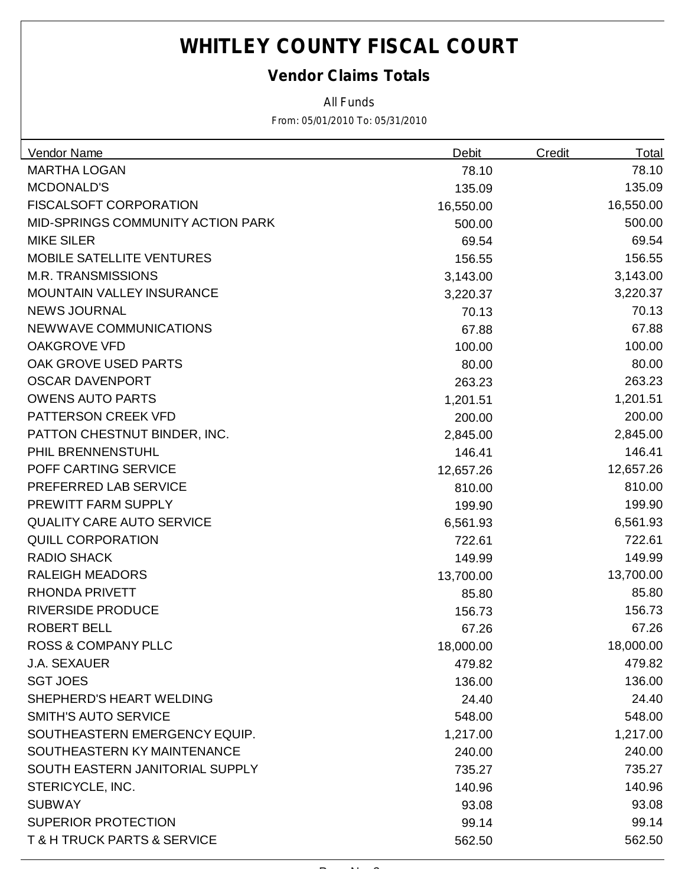### *Vendor Claims Totals*

*All Funds*

| Vendor Name                                | <b>Debit</b> | <b>Credit</b> | <b>Total</b> |
|--------------------------------------------|--------------|---------------|--------------|
| <b>MARTHA LOGAN</b>                        | 78.10        |               | 78.10        |
| <b>MCDONALD'S</b>                          | 135.09       |               | 135.09       |
| <b>FISCALSOFT CORPORATION</b>              | 16,550.00    |               | 16,550.00    |
| MID-SPRINGS COMMUNITY ACTION PARK          | 500.00       |               | 500.00       |
| <b>MIKE SILER</b>                          | 69.54        |               | 69.54        |
| <b>MOBILE SATELLITE VENTURES</b>           | 156.55       |               | 156.55       |
| <b>M.R. TRANSMISSIONS</b>                  | 3,143.00     |               | 3,143.00     |
| <b>MOUNTAIN VALLEY INSURANCE</b>           | 3,220.37     |               | 3,220.37     |
| <b>NEWS JOURNAL</b>                        | 70.13        |               | 70.13        |
| NEWWAVE COMMUNICATIONS                     | 67.88        |               | 67.88        |
| <b>OAKGROVE VFD</b>                        | 100.00       |               | 100.00       |
| OAK GROVE USED PARTS                       | 80.00        |               | 80.00        |
| <b>OSCAR DAVENPORT</b>                     | 263.23       |               | 263.23       |
| <b>OWENS AUTO PARTS</b>                    | 1,201.51     |               | 1,201.51     |
| PATTERSON CREEK VFD                        | 200.00       |               | 200.00       |
| PATTON CHESTNUT BINDER, INC.               | 2,845.00     |               | 2,845.00     |
| PHIL BRENNENSTUHL                          | 146.41       |               | 146.41       |
| POFF CARTING SERVICE                       | 12,657.26    |               | 12,657.26    |
| PREFERRED LAB SERVICE                      | 810.00       |               | 810.00       |
| PREWITT FARM SUPPLY                        | 199.90       |               | 199.90       |
| <b>QUALITY CARE AUTO SERVICE</b>           | 6,561.93     |               | 6,561.93     |
| <b>QUILL CORPORATION</b>                   | 722.61       |               | 722.61       |
| RADIO SHACK                                | 149.99       |               | 149.99       |
| <b>RALEIGH MEADORS</b>                     | 13,700.00    |               | 13,700.00    |
| <b>RHONDA PRIVETT</b>                      | 85.80        |               | 85.80        |
| <b>RIVERSIDE PRODUCE</b>                   | 156.73       |               | 156.73       |
| <b>ROBERT BELL</b>                         | 67.26        |               | 67.26        |
| <b>ROSS &amp; COMPANY PLLC</b>             | 18,000.00    |               | 18,000.00    |
| <b>J.A. SEXAUER</b>                        | 479.82       |               | 479.82       |
| <b>SGT JOES</b>                            | 136.00       |               | 136.00       |
| SHEPHERD'S HEART WELDING                   | 24.40        |               | 24.40        |
| <b>SMITH'S AUTO SERVICE</b>                | 548.00       |               | 548.00       |
| SOUTHEASTERN EMERGENCY EQUIP.              | 1,217.00     |               | 1,217.00     |
| SOUTHEASTERN KY MAINTENANCE                | 240.00       |               | 240.00       |
| SOUTH EASTERN JANITORIAL SUPPLY            | 735.27       |               | 735.27       |
| STERICYCLE, INC.                           | 140.96       |               | 140.96       |
| <b>SUBWAY</b>                              | 93.08        |               | 93.08        |
| <b>SUPERIOR PROTECTION</b>                 | 99.14        |               | 99.14        |
| <b>T &amp; H TRUCK PARTS &amp; SERVICE</b> | 562.50       |               | 562.50       |